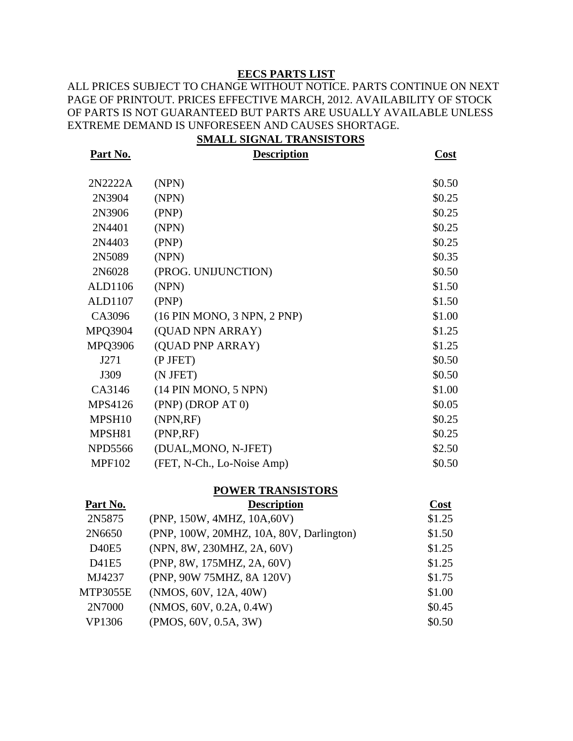# **EECS PARTS LIST**

## ALL PRICES SUBJECT TO CHANGE WITHOUT NOTICE. PARTS CONTINUE ON NEXT PAGE OF PRINTOUT. PRICES EFFECTIVE MARCH, 2012. AVAILABILITY OF STOCK OF PARTS IS NOT GUARANTEED BUT PARTS ARE USUALLY AVAILABLE UNLESS EXTREME DEMAND IS UNFORESEEN AND CAUSES SHORTAGE.

| <b>SMALL SIGNAL TRANSISTORS</b> |                             |        |  |  |
|---------------------------------|-----------------------------|--------|--|--|
| Part No.                        | <b>Description</b>          | Cost   |  |  |
| 2N2222A                         | (NPN)                       | \$0.50 |  |  |
| 2N3904                          | (NPN)                       | \$0.25 |  |  |
| 2N3906                          | (PNP)                       | \$0.25 |  |  |
| 2N4401                          | (NPN)                       | \$0.25 |  |  |
| 2N4403                          | (PNP)                       | \$0.25 |  |  |
| 2N5089                          | (NPN)                       | \$0.35 |  |  |
| 2N6028                          | (PROG. UNIJUNCTION)         | \$0.50 |  |  |
| ALD1106                         | (NPN)                       | \$1.50 |  |  |
| ALD1107                         | (PNP)                       | \$1.50 |  |  |
| CA3096                          | (16 PIN MONO, 3 NPN, 2 PNP) | \$1.00 |  |  |
| MPQ3904                         | (QUAD NPN ARRAY)            | \$1.25 |  |  |
| MPQ3906                         | (QUAD PNP ARRAY)            | \$1.25 |  |  |
| J271                            | (P JFET)                    | \$0.50 |  |  |
| J309                            | (N JFET)                    | \$0.50 |  |  |
| CA3146                          | (14 PIN MONO, 5 NPN)        | \$1.00 |  |  |
| <b>MPS4126</b>                  | (PNP) (DROP AT 0)           | \$0.05 |  |  |
| MPSH <sub>10</sub>              | (NPN,RF)                    | \$0.25 |  |  |
| MPSH81                          | (PNP, RF)                   | \$0.25 |  |  |
| <b>NPD5566</b>                  | (DUAL, MONO, N-JFET)        | \$2.50 |  |  |
| <b>MPF102</b>                   | (FET, N-Ch., Lo-Noise Amp)  | \$0.50 |  |  |
|                                 |                             |        |  |  |

# **POWER TRANSISTORS**

| Part No. | <b>Description</b>                       | Cost   |
|----------|------------------------------------------|--------|
| 2N5875   | (PNP, 150W, 4MHZ, 10A,60V)               | \$1.25 |
| 2N6650   | (PNP, 100W, 20MHZ, 10A, 80V, Darlington) | \$1.50 |
| D40E5    | (NPN, 8W, 230MHZ, 2A, 60V)               | \$1.25 |
| D41E5    | (PNP, 8W, 175MHZ, 2A, 60V)               | \$1.25 |
| MJ4237   | (PNP, 90W 75MHZ, 8A 120V)                | \$1.75 |
| MTP3055E | (NMOS, 60V, 12A, 40W)                    | \$1.00 |
| 2N7000   | (NMOS, 60V, 0.2A, 0.4W)                  | \$0.45 |
| VP1306   | (PMOS, 60V, 0.5A, 3W)                    | \$0.50 |
|          |                                          |        |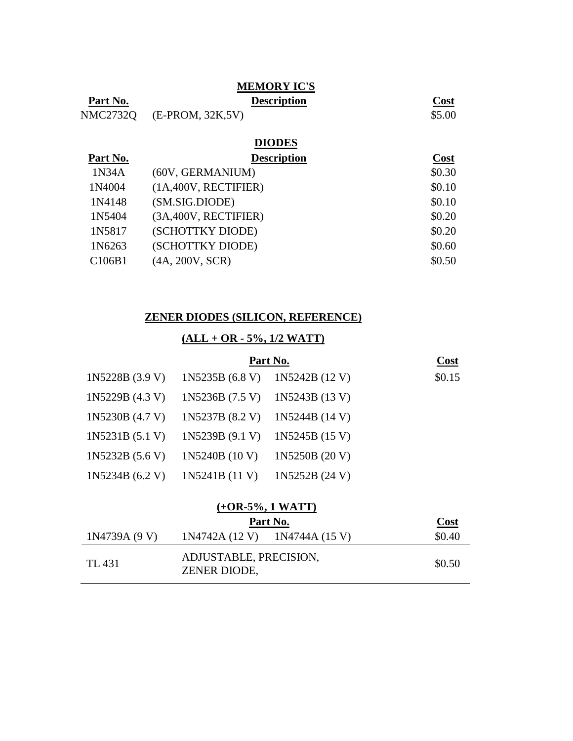## **MEMORY IC'S**

# **Part No. Description Cost**

NMC2732Q (E-PROM, 32K,5V) \$5.00

# **DIODES**

| Part No.                        | <b>Description</b>    | Cost   |
|---------------------------------|-----------------------|--------|
| 1N34A                           | (60V, GERMANIUM)      | \$0.30 |
| 1N4004                          | (1A,400V, RECTIFIER)  | \$0.10 |
| 1N4148                          | (SM.SIG.DIODE)        | \$0.10 |
| 1N5404                          | (3A, 400V, RECTIFIER) | \$0.20 |
| 1N5817                          | (SCHOTTKY DIODE)      | \$0.20 |
| 1N6263                          | (SCHOTTKY DIODE)      | \$0.60 |
| C <sub>106</sub> B <sub>1</sub> | (4A, 200V, SCR)       | \$0.50 |

# **ZENER DIODES (SILICON, REFERENCE)**

# **(ALL + OR - 5%, 1/2 WATT)**

|                                                      | Part No. | <b>Cost</b> |
|------------------------------------------------------|----------|-------------|
| 1N5228B (3.9 V) 1N5235B (6.8 V) 1N5242B (12 V)       |          | \$0.15      |
| $1N5229B (4.3 V)$ $1N5236B (7.5 V)$ $1N5243B (13 V)$ |          |             |
| $1N5230B (4.7 V)$ $1N5237B (8.2 V)$ $1N5244B (14 V)$ |          |             |
| $1N5231B(5.1 V)$ $1N5239B(9.1 V)$ $1N5245B(15 V)$    |          |             |
| $1N5232B (5.6 V)$ $1N5240B (10 V)$ $1N5250B (20 V)$  |          |             |
| $1N5234B (6.2 V)$ $1N5241B (11 V)$ $1N5252B (24 V)$  |          |             |

## **(+OR-5%, 1 WATT)**

|              |                                        | Part No. | <u>Cost</u> |
|--------------|----------------------------------------|----------|-------------|
| 1N4739A(9 V) | $1N4742A (12 V)$ $1N4744A (15 V)$      |          | \$0.40      |
| TL 431       | ADJUSTABLE, PRECISION,<br>ZENER DIODE, |          | \$0.50      |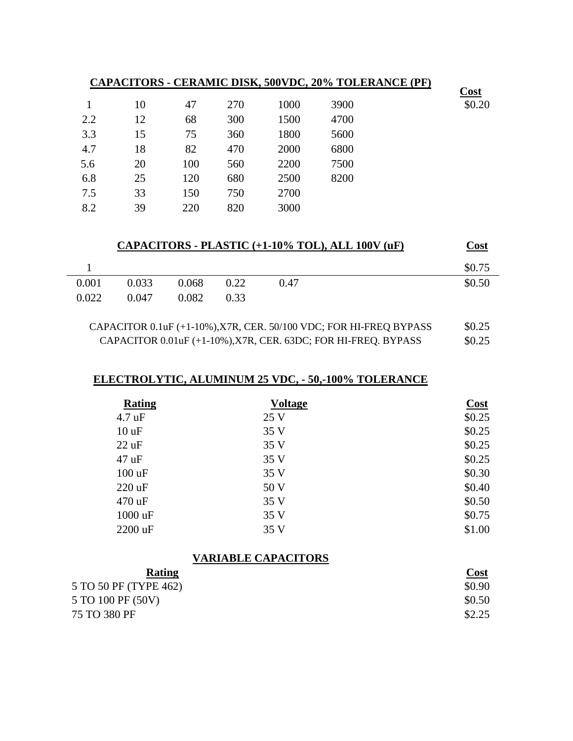|     |    |     |     |      | CAPACITORS - CERAMIC DISK, 500VDC, 20% TOLERANCE (PF) |             |
|-----|----|-----|-----|------|-------------------------------------------------------|-------------|
|     |    |     |     |      |                                                       | <u>Cost</u> |
|     | 10 | 47  | 270 | 1000 | 3900                                                  | \$0.20      |
| 2.2 | 12 | 68  | 300 | 1500 | 4700                                                  |             |
| 3.3 | 15 | 75  | 360 | 1800 | 5600                                                  |             |
| 4.7 | 18 | 82  | 470 | 2000 | 6800                                                  |             |
| 5.6 | 20 | 100 | 560 | 2200 | 7500                                                  |             |
| 6.8 | 25 | 120 | 680 | 2500 | 8200                                                  |             |
| 7.5 | 33 | 150 | 750 | 2700 |                                                       |             |
| 8.2 | 39 | 220 | 820 | 3000 |                                                       |             |
|     |    |     |     |      |                                                       |             |

|       | <u>Cost</u> |       |      |      |        |
|-------|-------------|-------|------|------|--------|
|       |             |       |      |      | \$0.75 |
| 0.001 | 0.033       | 0.068 | 0.22 | 0.47 | \$0.50 |
| 0.022 | 0.047       | 0.082 | 0.33 |      |        |

CAPACITOR 0.1uF (+1-10%), X7R, CER. 50/100 VDC; FOR HI-FREQ BYPASS \$0.25 CAPACITOR  $0.01$ uF (+1-10%), X7R, CER. 63DC; FOR HI-FREQ. BYPASS  $$0.25$ 

### **ELECTROLYTIC, ALUMINUM 25 VDC, - 50,-100% TOLERANCE**

| <b>Rating</b>    | <b>Voltage</b> | Cost   |
|------------------|----------------|--------|
| $4.7 \text{ uF}$ | 25 V           | \$0.25 |
| 10 uF            | 35 V           | \$0.25 |
| $22 \mathrm{uF}$ | 35 V           | \$0.25 |
| $47$ uF          | 35 V           | \$0.25 |
| $100 \text{ uF}$ | 35 V           | \$0.30 |
| $220 \text{ uF}$ | 50 V           | \$0.40 |
| 470 uF           | 35 V           | \$0.50 |
| 1000 uF          | 35 V           | \$0.75 |
| 2200 uF          | 35 V           | \$1.00 |

## **VARIABLE CAPACITORS**

| <u>Cost</u> |
|-------------|
| \$0.90      |
| \$0.50      |
| \$2.25      |
|             |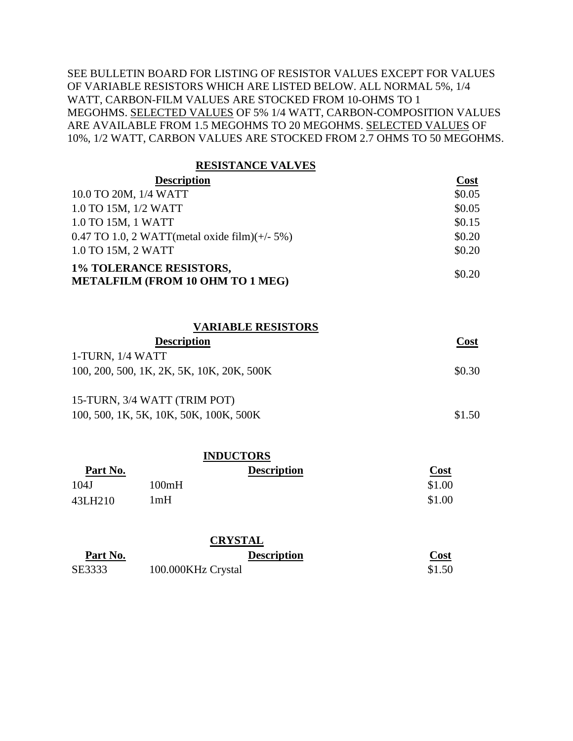SEE BULLETIN BOARD FOR LISTING OF RESISTOR VALUES EXCEPT FOR VALUES OF VARIABLE RESISTORS WHICH ARE LISTED BELOW. ALL NORMAL 5%, 1/4 WATT, CARBON-FILM VALUES ARE STOCKED FROM 10-OHMS TO 1 MEGOHMS. SELECTED VALUES OF 5% 1/4 WATT, CARBON-COMPOSITION VALUES ARE AVAILABLE FROM 1.5 MEGOHMS TO 20 MEGOHMS. SELECTED VALUES OF 10%, 1/2 WATT, CARBON VALUES ARE STOCKED FROM 2.7 OHMS TO 50 MEGOHMS.

### **RESISTANCE VALVES**

| <b>Description</b>                                                 | Cost   |
|--------------------------------------------------------------------|--------|
| 10.0 TO 20M, 1/4 WATT                                              | \$0.05 |
| 1.0 TO 15M, 1/2 WATT                                               | \$0.05 |
| 1.0 TO 15M, 1 WATT                                                 | \$0.15 |
| 0.47 TO 1.0, 2 WATT (metal oxide film) $(+/- 5%)$                  | \$0.20 |
| 1.0 TO 15M, 2 WATT                                                 | \$0.20 |
| <b>1% TOLERANCE RESISTORS,</b><br>METALFILM (FROM 10 OHM TO 1 MEG) | \$0.20 |

#### **VARIABLE RESISTORS**

| <b>Description</b>                        | Cost   |
|-------------------------------------------|--------|
| $1-TURN, 1/4 WATT$                        |        |
| 100, 200, 500, 1K, 2K, 5K, 10K, 20K, 500K | \$0.30 |
|                                           |        |
| 15-TURN, 3/4 WATT (TRIM POT)              |        |
|                                           |        |

| 100, 500, 1K, 5K, 10K, 50K, 100K, 500K | \$1.50 |
|----------------------------------------|--------|
|----------------------------------------|--------|

| <b>INDUCTORS</b> |       |                    |                 |
|------------------|-------|--------------------|-----------------|
| Part No.         |       | <b>Description</b> | $\textsf{Cost}$ |
| 104J             | 100mH |                    | \$1.00          |
| 43LH210          | l mH  |                    | \$1.00          |

#### **CRYSTAL**

| Part No. | <b>Description</b> | Cost   |
|----------|--------------------|--------|
| SE3333   | 100.000KHz Crystal | \$1.50 |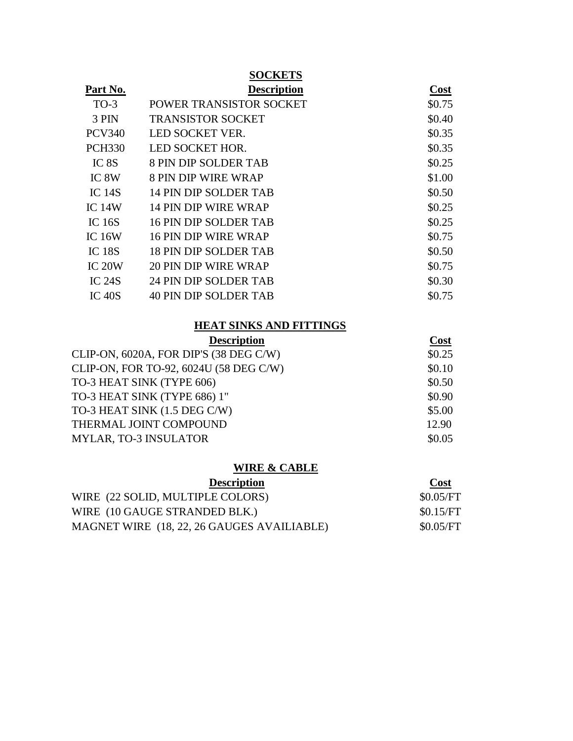**SOCKETS**

| Part No.      | <b>Description</b>           | Cost   |
|---------------|------------------------------|--------|
| $TO-3$        | POWER TRANSISTOR SOCKET      | \$0.75 |
| 3 PIN         | <b>TRANSISTOR SOCKET</b>     | \$0.40 |
| <b>PCV340</b> | LED SOCKET VER.              | \$0.35 |
| <b>PCH330</b> | LED SOCKET HOR.              | \$0.35 |
| IC 8S         | <b>8 PIN DIP SOLDER TAB</b>  | \$0.25 |
| IC 8W         | 8 PIN DIP WIRE WRAP          | \$1.00 |
| IC $14S$      | 14 PIN DIP SOLDER TAB        | \$0.50 |
| <b>IC 14W</b> | 14 PIN DIP WIRE WRAP         | \$0.25 |
| IC $16S$      | <b>16 PIN DIP SOLDER TAB</b> | \$0.25 |
| IC $16W$      | 16 PIN DIP WIRE WRAP         | \$0.75 |
| <b>IC 18S</b> | <b>18 PIN DIP SOLDER TAB</b> | \$0.50 |
| IC 20W        | <b>20 PIN DIP WIRE WRAP</b>  | \$0.75 |
| IC $24S$      | 24 PIN DIP SOLDER TAB        | \$0.30 |
| $IC$ 40S      | <b>40 PIN DIP SOLDER TAB</b> | \$0.75 |

### **HEAT SINKS AND FITTINGS**

| <b>Description</b>                     | Cost   |
|----------------------------------------|--------|
| CLIP-ON, 6020A, FOR DIP'S (38 DEG C/W) | \$0.25 |
| CLIP-ON, FOR TO-92, 6024U (58 DEG C/W) | \$0.10 |
| TO-3 HEAT SINK (TYPE 606)              | \$0.50 |
| TO-3 HEAT SINK (TYPE 686) 1"           | \$0.90 |
| TO-3 HEAT SINK (1.5 DEG C/W)           | \$5.00 |
| THERMAL JOINT COMPOUND                 | 12.90  |
| <b>MYLAR, TO-3 INSULATOR</b>           | \$0.05 |

#### **WIRE & CABLE**

| <b>Description</b>                         | <b>Cost</b> |
|--------------------------------------------|-------------|
| WIRE (22 SOLID, MULTIPLE COLORS)           | \$0.05/FT   |
| WIRE (10 GAUGE STRANDED BLK.)              | \$0.15/FT   |
| MAGNET WIRE (18, 22, 26 GAUGES AVAILIABLE) | \$0.05/FT   |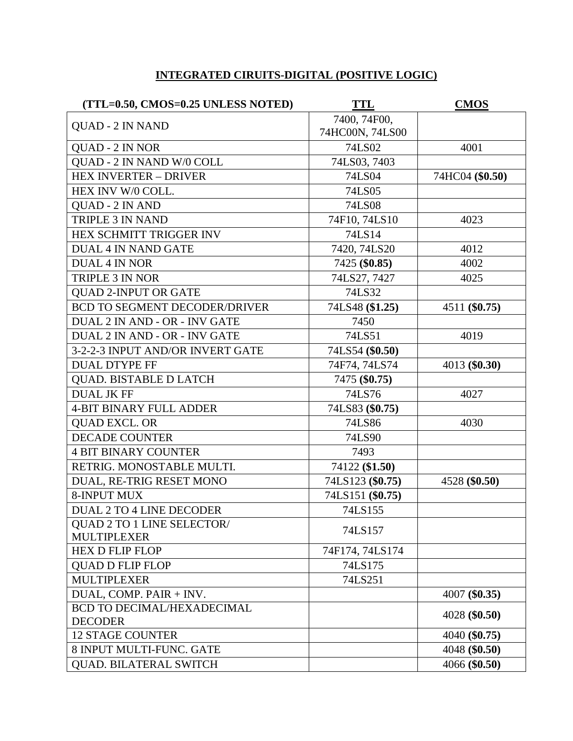# **INTEGRATED CIRUITS-DIGITAL (POSITIVE LOGIC)**

| (TTL=0.50, CMOS=0.25 UNLESS NOTED)   | <b>TTL</b>       | <b>CMOS</b>     |
|--------------------------------------|------------------|-----------------|
| <b>QUAD - 2 IN NAND</b>              | 7400, 74F00,     |                 |
|                                      | 74HC00N, 74LS00  |                 |
| <b>QUAD - 2 IN NOR</b>               | 74LS02           | 4001            |
| QUAD - 2 IN NAND W/0 COLL            | 74LS03, 7403     |                 |
| <b>HEX INVERTER - DRIVER</b>         | 74LS04           | 74HC04 (\$0.50) |
| HEX INV W/0 COLL.                    | 74LS05           |                 |
| QUAD - 2 IN AND                      | 74LS08           |                 |
| TRIPLE 3 IN NAND                     | 74F10, 74LS10    | 4023            |
| HEX SCHMITT TRIGGER INV              | 74LS14           |                 |
| <b>DUAL 4 IN NAND GATE</b>           | 7420, 74LS20     | 4012            |
| <b>DUAL 4 IN NOR</b>                 | 7425 (\$0.85)    | 4002            |
| <b>TRIPLE 3 IN NOR</b>               | 74LS27, 7427     | 4025            |
| <b>QUAD 2-INPUT OR GATE</b>          | 74LS32           |                 |
| <b>BCD TO SEGMENT DECODER/DRIVER</b> | 74LS48 (\$1.25)  | 4511 (\$0.75)   |
| DUAL 2 IN AND - OR - INV GATE        | 7450             |                 |
| DUAL 2 IN AND - OR - INV GATE        | 74LS51           | 4019            |
| 3-2-2-3 INPUT AND/OR INVERT GATE     | 74LS54 (\$0.50)  |                 |
| <b>DUAL DTYPE FF</b>                 | 74F74, 74LS74    | 4013 (\$0.30)   |
| <b>QUAD. BISTABLE D LATCH</b>        | 7475 (\$0.75)    |                 |
| <b>DUAL JK FF</b>                    | 74LS76           | 4027            |
| <b>4-BIT BINARY FULL ADDER</b>       | 74LS83 (\$0.75)  |                 |
| <b>QUAD EXCL. OR</b>                 | 74LS86           | 4030            |
| <b>DECADE COUNTER</b>                | 74LS90           |                 |
| <b>4 BIT BINARY COUNTER</b>          | 7493             |                 |
| RETRIG. MONOSTABLE MULTI.            | 74122 (\$1.50)   |                 |
| DUAL, RE-TRIG RESET MONO             | 74LS123 (\$0.75) | 4528 (\$0.50)   |
| <b>8-INPUT MUX</b>                   | 74LS151 (\$0.75) |                 |
| <b>DUAL 2 TO 4 LINE DECODER</b>      | 74LS155          |                 |
| QUAD 2 TO 1 LINE SELECTOR/           | 74LS157          |                 |
| <b>MULTIPLEXER</b>                   |                  |                 |
| <b>HEX D FLIP FLOP</b>               | 74F174, 74LS174  |                 |
| <b>QUAD D FLIP FLOP</b>              | 74LS175          |                 |
| <b>MULTIPLEXER</b>                   | 74LS251          |                 |
| DUAL, COMP. PAIR + INV.              |                  | 4007 (\$0.35)   |
| <b>BCD TO DECIMAL/HEXADECIMAL</b>    |                  | 4028 (\$0.50)   |
| <b>DECODER</b>                       |                  |                 |
| <b>12 STAGE COUNTER</b>              |                  | 4040 (\$0.75)   |
| 8 INPUT MULTI-FUNC. GATE             |                  | 4048 (\$0.50)   |
| <b>QUAD. BILATERAL SWITCH</b>        |                  | 4066 (\$0.50)   |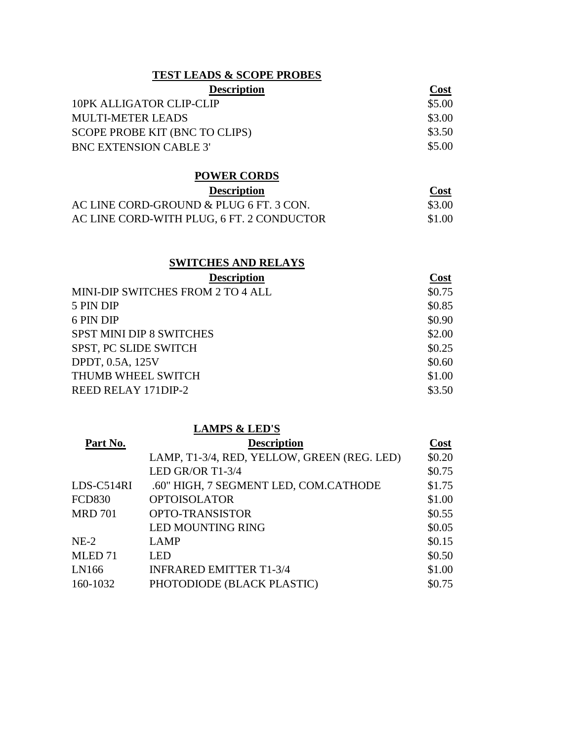### **TEST LEADS & SCOPE PROBES**

| <b>Description</b>             | <u>Cost</u> |
|--------------------------------|-------------|
| 10PK ALLIGATOR CLIP-CLIP       | \$5.00      |
| MULTI-METER LEADS              | \$3.00      |
| SCOPE PROBE KIT (BNC TO CLIPS) | \$3.50      |
| BNC EXTENSION CABLE 3'         | \$5.00      |

### **POWER CORDS**

| <b>Description</b>                        | <b>Cost</b> |
|-------------------------------------------|-------------|
| AC LINE CORD-GROUND & PLUG 6 FT. 3 CON.   | \$3.00      |
| AC LINE CORD-WITH PLUG, 6 FT. 2 CONDUCTOR | \$1.00      |

## **SWITCHES AND RELAYS**

| <b>Description</b>                | Cost   |
|-----------------------------------|--------|
| MINI-DIP SWITCHES FROM 2 TO 4 ALL | \$0.75 |
| 5 PIN DIP                         | \$0.85 |
| 6 PIN DIP                         | \$0.90 |
| <b>SPST MINI DIP 8 SWITCHES</b>   | \$2.00 |
| <b>SPST, PC SLIDE SWITCH</b>      | \$0.25 |
| DPDT, 0.5A, 125V                  | \$0.60 |
| THUMB WHEEL SWITCH                | \$1.00 |
| REED RELAY 171DIP-2               | \$3.50 |

# **LAMPS & LED'S**

| Part No.           | <b>Description</b>                          | Cost   |
|--------------------|---------------------------------------------|--------|
|                    | LAMP, T1-3/4, RED, YELLOW, GREEN (REG. LED) | \$0.20 |
|                    | LED GR/OR T1-3/4                            | \$0.75 |
| LDS-C514RI         | .60" HIGH, 7 SEGMENT LED, COM.CATHODE       | \$1.75 |
| <b>FCD830</b>      | <b>OPTOISOLATOR</b>                         | \$1.00 |
| <b>MRD 701</b>     | <b>OPTO-TRANSISTOR</b>                      | \$0.55 |
|                    | <b>LED MOUNTING RING</b>                    | \$0.05 |
| $NE-2$             | <b>LAMP</b>                                 | \$0.15 |
| MLED <sub>71</sub> | <b>LED</b>                                  | \$0.50 |
| LN166              | <b>INFRARED EMITTER T1-3/4</b>              | \$1.00 |
| 160-1032           | PHOTODIODE (BLACK PLASTIC)                  | \$0.75 |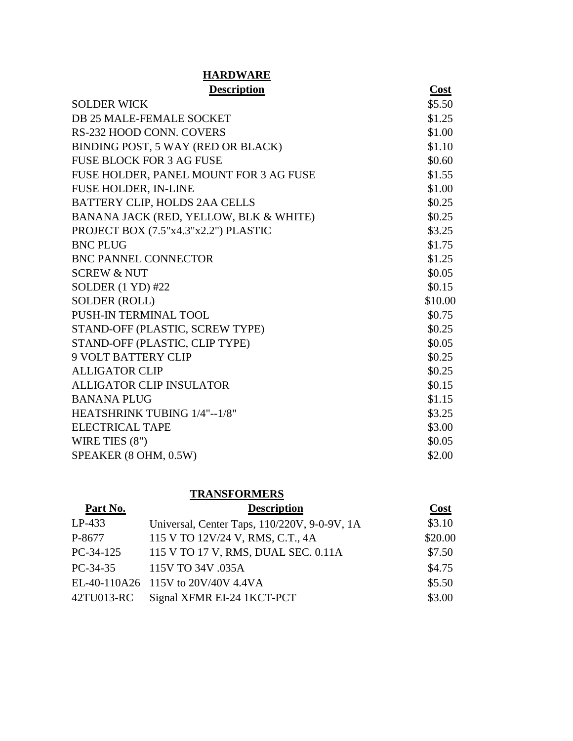| <b>HARDWARE</b>                        |         |
|----------------------------------------|---------|
| <b>Description</b>                     | Cost    |
| <b>SOLDER WICK</b>                     | \$5.50  |
| DB 25 MALE-FEMALE SOCKET               | \$1.25  |
| RS-232 HOOD CONN. COVERS               | \$1.00  |
| BINDING POST, 5 WAY (RED OR BLACK)     | \$1.10  |
| <b>FUSE BLOCK FOR 3 AG FUSE</b>        | \$0.60  |
| FUSE HOLDER, PANEL MOUNT FOR 3 AG FUSE | \$1.55  |
| <b>FUSE HOLDER, IN-LINE</b>            | \$1.00  |
| BATTERY CLIP, HOLDS 2AA CELLS          | \$0.25  |
| BANANA JACK (RED, YELLOW, BLK & WHITE) | \$0.25  |
| PROJECT BOX (7.5"x4.3"x2.2") PLASTIC   | \$3.25  |
| <b>BNC PLUG</b>                        | \$1.75  |
| <b>BNC PANNEL CONNECTOR</b>            | \$1.25  |
| <b>SCREW &amp; NUT</b>                 | \$0.05  |
| SOLDER (1 YD) #22                      | \$0.15  |
| SOLDER (ROLL)                          | \$10.00 |
| <b>PUSH-IN TERMINAL TOOL</b>           | \$0.75  |
| STAND-OFF (PLASTIC, SCREW TYPE)        | \$0.25  |
| STAND-OFF (PLASTIC, CLIP TYPE)         | \$0.05  |
| <b>9 VOLT BATTERY CLIP</b>             | \$0.25  |
| <b>ALLIGATOR CLIP</b>                  | \$0.25  |
| ALLIGATOR CLIP INSULATOR               | \$0.15  |
| <b>BANANA PLUG</b>                     | \$1.15  |
| HEATSHRINK TUBING 1/4"--1/8"           | \$3.25  |
| <b>ELECTRICAL TAPE</b>                 | \$3.00  |
| WIRE TIES $(8")$                       | \$0.05  |
| SPEAKER (8 OHM, 0.5W)                  | \$2.00  |

# **TRANSFORMERS**

| Part No.   | <b>Description</b>                           | Cost    |
|------------|----------------------------------------------|---------|
| LP-433     | Universal, Center Taps, 110/220V, 9-0-9V, 1A | \$3.10  |
| P-8677     | 115 V TO 12V/24 V, RMS, C.T., 4A             | \$20.00 |
| PC-34-125  | 115 V TO 17 V, RMS, DUAL SEC. 0.11A          | \$7.50  |
| $PC-34-35$ | 115V TO 34V .035A                            | \$4.75  |
|            | EL-40-110A26 115V to 20V/40V 4.4VA           | \$5.50  |
|            | 42TU013-RC Signal XFMR EI-24 1KCT-PCT        | \$3.00  |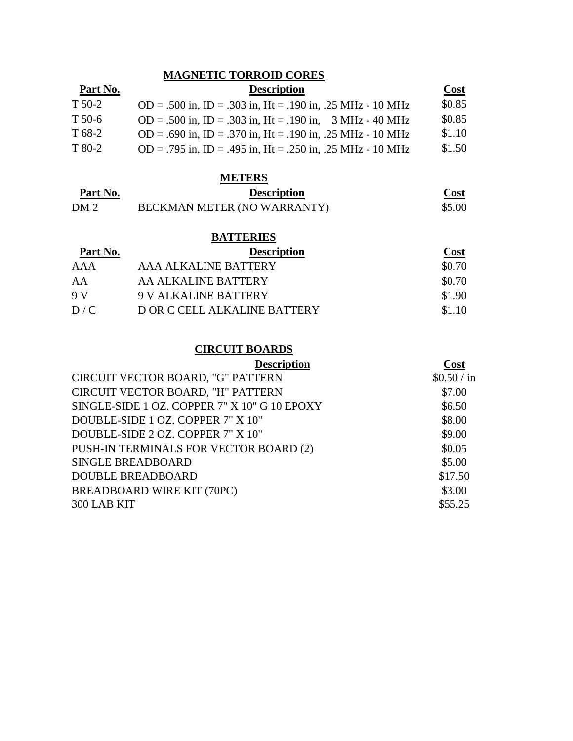# **MAGNETIC TORROID CORES**

| Part No. | <b>Description</b>                                         | <b>Cost</b> |
|----------|------------------------------------------------------------|-------------|
| T 50-2   | OD = .500 in, ID = .303 in, Ht = .190 in, .25 MHz - 10 MHz | \$0.85      |
| T 50-6   | OD = .500 in, ID = .303 in, Ht = .190 in, 3 MHz - 40 MHz   | \$0.85      |
| T 68-2   | OD = .690 in, ID = .370 in, Ht = .190 in, .25 MHz - 10 MHz | \$1.10      |
| T 80-2   | OD = .795 in, ID = .495 in, Ht = .250 in, .25 MHz - 10 MHz | \$1.50      |

# **METERS**

| Part No.        | <b>Description</b>          | Cost   |
|-----------------|-----------------------------|--------|
| DM <sub>2</sub> | BECKMAN METER (NO WARRANTY) | \$5.00 |

### **BATTERIES**

| Part No. | <b>Description</b>           | <b>Cost</b> |
|----------|------------------------------|-------------|
| AAA      | AAA ALKALINE BATTERY         | \$0.70      |
| AA       | AA ALKALINE BATTERY          | \$0.70      |
| 9V       | 9 V ALKALINE BATTERY         | \$1.90      |
| D/C      | D OR C CELL ALKALINE BATTERY | \$1.10      |

### **CIRCUIT BOARDS**

| Cost        |
|-------------|
| \$0.50 / in |
| \$7.00      |
| \$6.50      |
| \$8.00      |
| \$9.00      |
| \$0.05      |
| \$5.00      |
| \$17.50     |
| \$3.00      |
| \$55.25     |
|             |